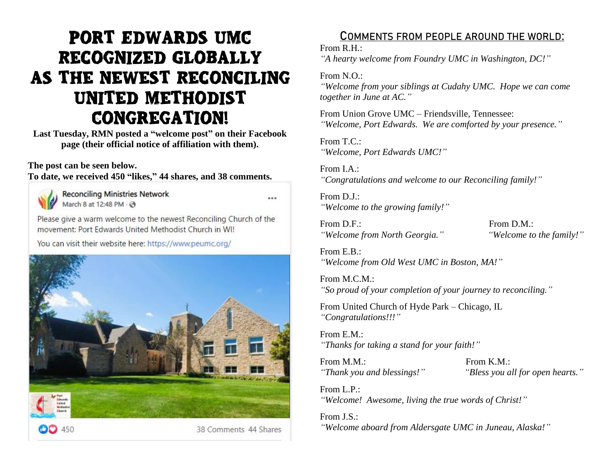# **PORT EDWARDS UMC** RECOGNIZED GLOBALLY AS THE NEWEST RECONCILING UNITED METHODIST **CONGREGATION!**

**Last Tuesday, RMN posted a "welcome post" on their Facebook page (their official notice of affiliation with them).**

### **The post can be seen below.**

**To date, we received 450 "likes," 44 shares, and 38 comments.**

 $CD450$ 

**Reconciling Ministries Network** March 8 at 12:48 PM - @

...

38 Comments 44 Shares

Please give a warm welcome to the newest Reconciling Church of the movement: Port Edwards United Methodist Church in WI!

You can visit their website here: https://www.peumc.org/



**COMMENTS FROM PEOPLE AROUND THE WORLD:**

From R.H.:

*"A hearty welcome from Foundry UMC in Washington, DC!"*

From N.O.:

*"Welcome from your siblings at Cudahy UMC. Hope we can come together in June at AC."*

From Union Grove UMC – Friendsville, Tennessee: *"Welcome, Port Edwards. We are comforted by your presence."*

From T.C.: *"Welcome, Port Edwards UMC!"*

From I.A.: *"Congratulations and welcome to our Reconciling family!"*

From D.J.: *"Welcome to the growing family!"*

From D.F.: From D.M.: *"Welcome from North Georgia." "Welcome to the family!"*

From E.B.: *"Welcome from Old West UMC in Boston, MA!"*

From M.C.M.: *"So proud of your completion of your journey to reconciling."*

From United Church of Hyde Park – Chicago, IL *"Congratulations!!!"*

From E.M.: *"Thanks for taking a stand for your faith!"*

From M.M.: From K.M.:

*"Thank you and blessings!" "Bless you all for open hearts."*

From  $L$ .  $P$ . *"Welcome! Awesome, living the true words of Christ!"*

From J.S.:

*"Welcome aboard from Aldersgate UMC in Juneau, Alaska!"*